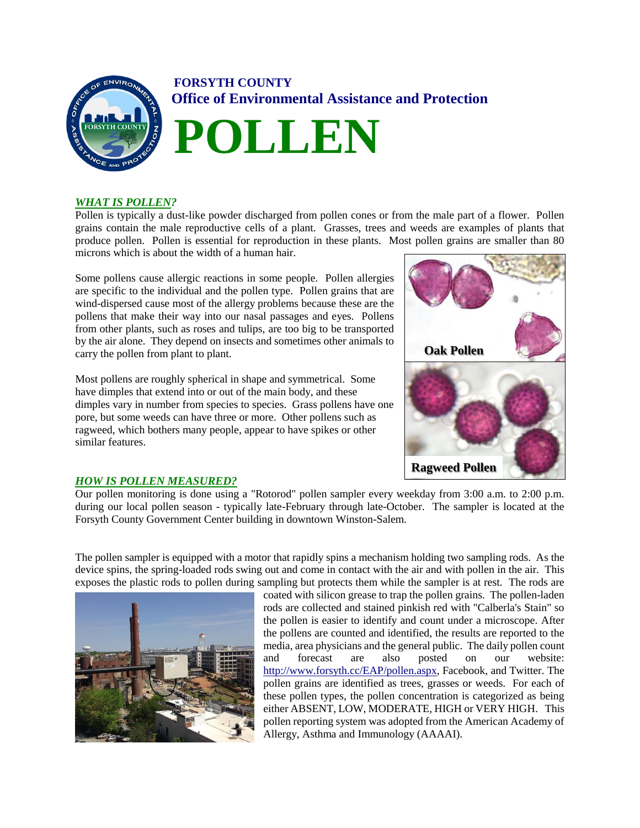

# **FORSYTH COUNTY Office of Environmental Assistance and Protection**



## *WHAT IS POLLEN?*

Pollen is typically a dust-like powder discharged from pollen cones or from the male part of a flower. Pollen grains contain the male reproductive cells of a plant. Grasses, trees and weeds are examples of plants that produce pollen. Pollen is essential for reproduction in these plants. Most pollen grains are smaller than 80 microns which is about the width of a human hair.

Some pollens cause allergic reactions in some people. Pollen allergies are specific to the individual and the pollen type. Pollen grains that are wind-dispersed cause most of the allergy problems because these are the pollens that make their way into our nasal passages and eyes. Pollens from other plants, such as roses and tulips, are too big to be transported by the air alone. They depend on insects and sometimes other animals to carry the pollen from plant to plant.

Most pollens are roughly spherical in shape and symmetrical. Some have dimples that extend into or out of the main body, and these dimples vary in number from species to species. Grass pollens have one pore, but some weeds can have three or more. Other pollens such as ragweed, which bothers many people, appear to have spikes or other similar features.



## *HOW IS POLLEN MEASURED?*

Our pollen monitoring is done using a "Rotorod" pollen sampler every weekday from 3:00 a.m. to 2:00 p.m. during our local pollen season - typically late-February through late-October. The sampler is located at the Forsyth County Government Center building in downtown Winston-Salem.

The pollen sampler is equipped with a motor that rapidly spins a mechanism holding two sampling rods. As the device spins, the spring-loaded rods swing out and come in contact with the air and with pollen in the air. This exposes the plastic rods to pollen during sampling but protects them while the sampler is at rest. The rods are



coated with silicon grease to trap the pollen grains. The pollen-laden rods are collected and stained pinkish red with "Calberla's Stain" so the pollen is easier to identify and count under a microscope. After the pollens are counted and identified, the results are reported to the media, area physicians and the general public. The daily pollen count and forecast are also posted on our website: [http://www.forsyth.cc/EAP/pollen.aspx,](http://www.forsyth.cc/EAP/pollen.aspx) Facebook, and Twitter. The pollen grains are identified as trees, grasses or weeds. For each of these pollen types, the pollen concentration is categorized as being either ABSENT, LOW, MODERATE, HIGH or VERY HIGH. This pollen reporting system was adopted from the American Academy of Allergy, Asthma and Immunology (AAAAI).